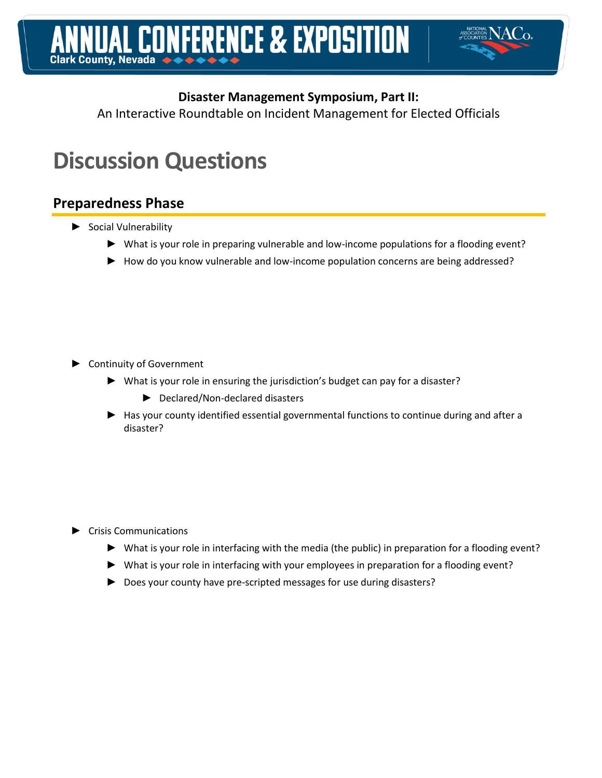

An Interactive Roundtable on Incident Management for Elected Officials

# **Discussion Questions**

# **Preparedness Phase**

- ► Social Vulnerability
	- ► What is your role in preparing vulnerable and low-income populations for a flooding event?
	- ► How do you know vulnerable and low-income population concerns are being addressed?

- ► Continuity of Government
	- ► What is your role in ensuring the jurisdiction's budget can pay for a disaster?
		- ► Declared/Non-declared disasters
	- ► Has your county identified essential governmental functions to continue during and after a disaster?

### ► Crisis Communications

- ► What is your role in interfacing with the media (the public) in preparation for a flooding event?
- ► What is your role in interfacing with your employees in preparation for a flooding event?
- ► Does your county have pre-scripted messages for use during disasters?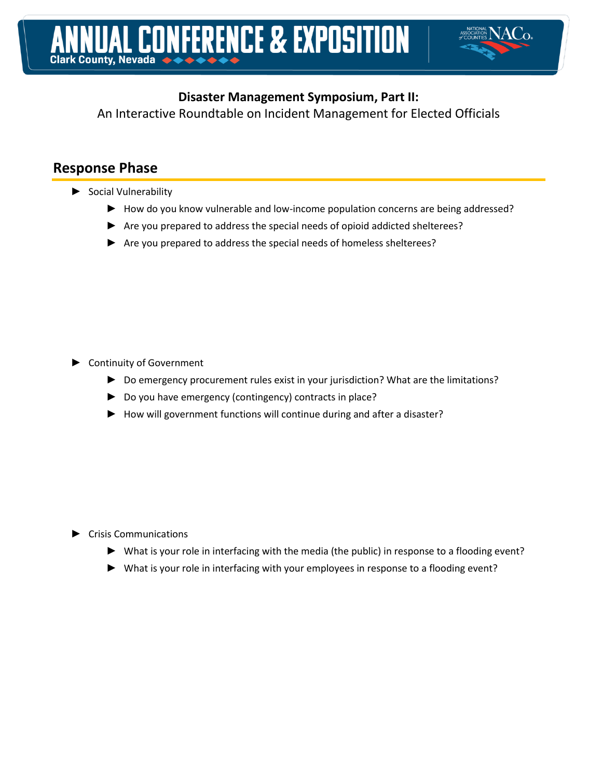

An Interactive Roundtable on Incident Management for Elected Officials

# **Response Phase**

- ► Social Vulnerability
	- ► How do you know vulnerable and low-income population concerns are being addressed?
	- ► Are you prepared to address the special needs of opioid addicted shelterees?
	- ► Are you prepared to address the special needs of homeless shelterees?

- ► Continuity of Government
	- ► Do emergency procurement rules exist in your jurisdiction? What are the limitations?
	- ► Do you have emergency (contingency) contracts in place?
	- ► How will government functions will continue during and after a disaster?

### ► Crisis Communications

- ► What is your role in interfacing with the media (the public) in response to a flooding event?
- ► What is your role in interfacing with your employees in response to a flooding event?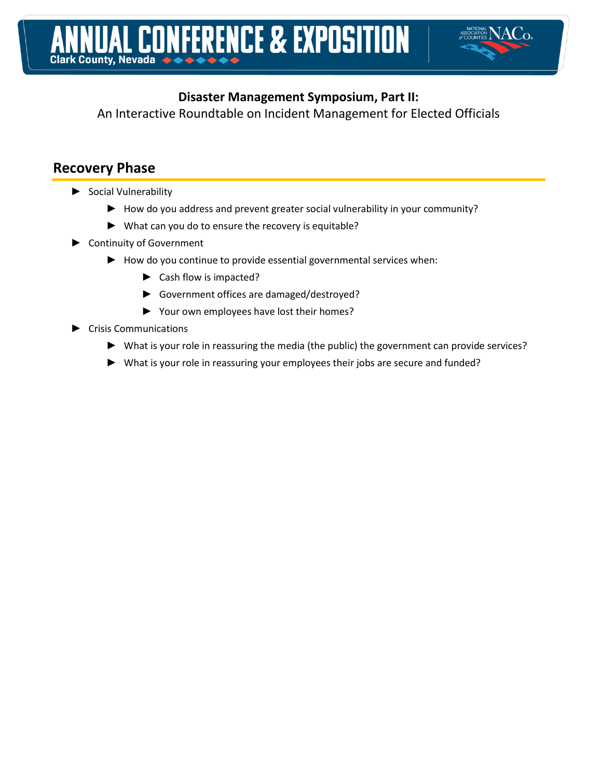

An Interactive Roundtable on Incident Management for Elected Officials

# **Recovery Phase**

- ► Social Vulnerability
	- ► How do you address and prevent greater social vulnerability in your community?
	- ► What can you do to ensure the recovery is equitable?
- ► Continuity of Government
	- ► How do you continue to provide essential governmental services when:
		- ► Cash flow is impacted?
		- ► Government offices are damaged/destroyed?
		- ► Your own employees have lost their homes?
- ► Crisis Communications
	- ► What is your role in reassuring the media (the public) the government can provide services?
	- ► What is your role in reassuring your employees their jobs are secure and funded?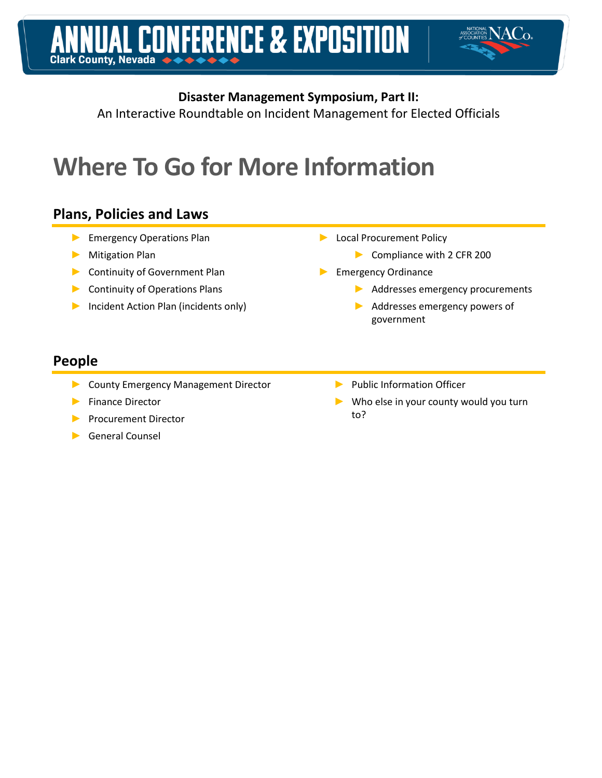

An Interactive Roundtable on Incident Management for Elected Officials

# **Where To Go for More Information**

# **Plans, Policies and Laws**

- ► Emergency Operations Plan
- ► Mitigation Plan
- ► Continuity of Government Plan
- ► Continuity of Operations Plans
- ► Incident Action Plan (incidents only)
- ► Local Procurement Policy
	- ► Compliance with 2 CFR 200
- ► Emergency Ordinance
	- ► Addresses emergency procurements
	- ► Addresses emergency powers of government

# **People**

- ► County Emergency Management Director
- ► Finance Director
- ► Procurement Director
- ► General Counsel
- ► Public Information Officer
	- Who else in your county would you turn to?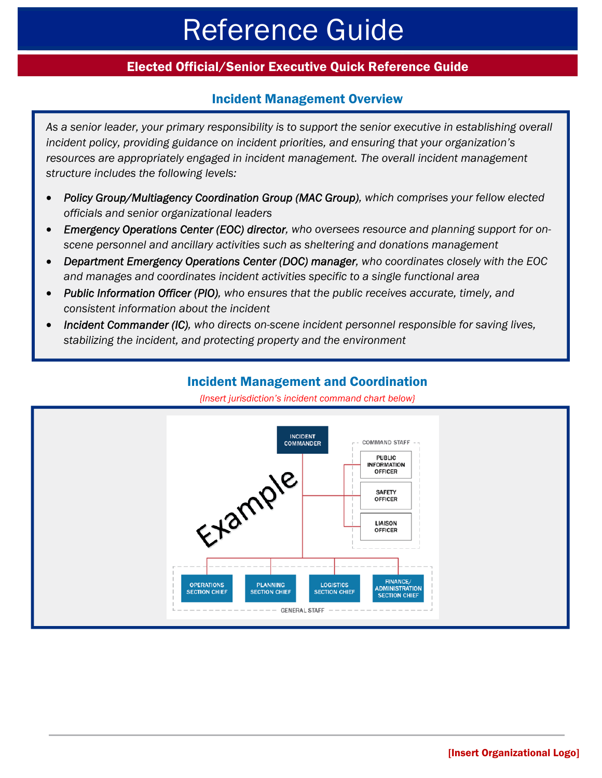# Reference Guide

## Elected Official/Senior Executive Quick Reference Guide

### Incident Management Overview

*As a senior leader, your primary responsibility is to support the senior executive in establishing overall incident policy, providing guidance on incident priorities, and ensuring that your organization's*  resources are appropriately engaged in incident management. The overall incident management *structure includes the following levels:* 

- *Policy Group/Multiagency Coordination Group (MAC Group), which comprises your fellow elected officials and senior organizational leaders*
- *Emergency Operations Center (EOC) director, who oversees resource and planning support for onscene personnel and ancillary activities such as sheltering and donations management*
- *Department Emergency Operations Center (DOC) manager, who coordinates closely with the EOC and manages and coordinates incident activities specific to a single functional area*
- *Public Information Officer (PIO), who ensures that the public receives accurate, timely, and consistent information about the incident*
- *Incident Commander (IC), who directs on-scene incident personnel responsible for saving lives, stabilizing the incident, and protecting property and the environment*



*{Insert jurisdiction's incident command chart below}* 

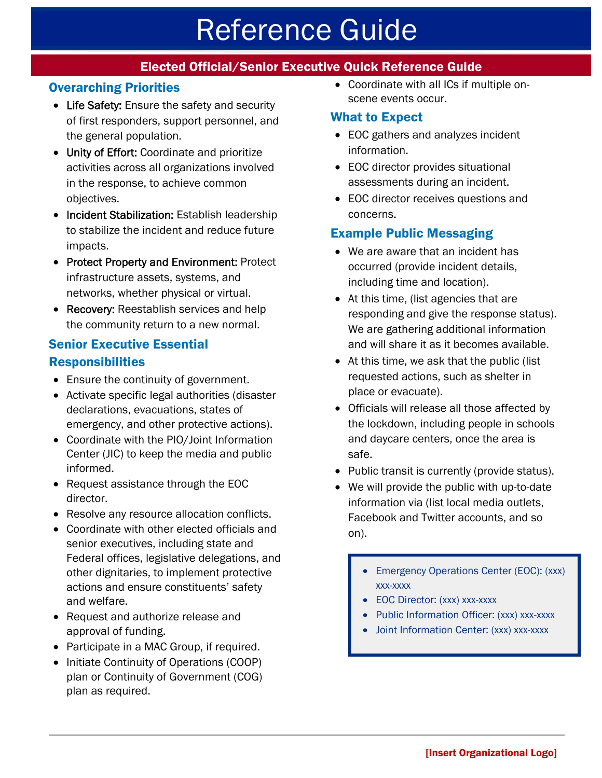# Reference Guide

# Elected Official/Senior Executive Quick Reference Guide

# Overarching Priorities

- Life Safety: Ensure the safety and security of first responders, support personnel, and the general population.
- Unity of Effort: Coordinate and prioritize activities across all organizations involved in the response, to achieve common objectives.
- Incident Stabilization: Establish leadership to stabilize the incident and reduce future impacts.
- Protect Property and Environment: Protect infrastructure assets, systems, and networks, whether physical or virtual.
- Recovery: Reestablish services and help the community return to a new normal.

## Senior Executive Essential **Responsibilities**

- Ensure the continuity of government.
- Activate specific legal authorities (disaster declarations, evacuations, states of emergency, and other protective actions).
- Coordinate with the PIO/Joint Information Center (JIC) to keep the media and public informed.
- Request assistance through the EOC director.
- Resolve any resource allocation conflicts.
- Coordinate with other elected officials and senior executives, including state and Federal offices, legislative delegations, and other dignitaries, to implement protective actions and ensure constituents' safety and welfare.
- Request and authorize release and approval of funding.
- Participate in a MAC Group, if required.
- Initiate Continuity of Operations (COOP) plan or Continuity of Government (COG) plan as required.

 Coordinate with all ICs if multiple onscene events occur.

### What to Expect

- EOC gathers and analyzes incident information.
- EOC director provides situational assessments during an incident.
- EOC director receives questions and concerns.

## Example Public Messaging

- We are aware that an incident has occurred (provide incident details, including time and location).
- At this time, (list agencies that are responding and give the response status). We are gathering additional information and will share it as it becomes available.
- At this time, we ask that the public (list requested actions, such as shelter in place or evacuate).
- Officials will release all those affected by the lockdown, including people in schools and daycare centers, once the area is safe.
- Public transit is currently (provide status).
- We will provide the public with up-to-date information via (list local media outlets, Facebook and Twitter accounts, and so on).
	- Emergency Operations Center (EOC): (xxx) xxx-xxxx
	- EOC Director: (xxx) xxx-xxxx
	- Public Information Officer: (xxx) xxx-xxxx
	- Joint Information Center: (xxx) xxx-xxxx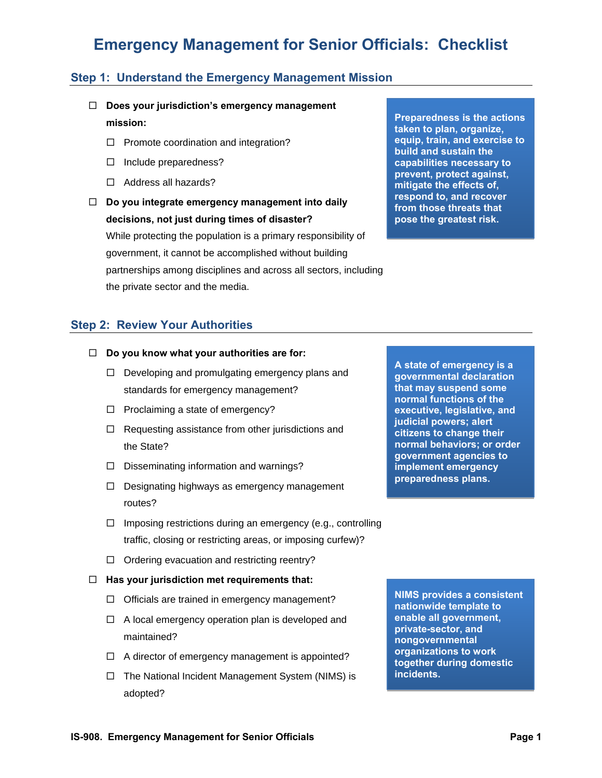### **Step 1: Understand the Emergency Management Mission**

- **Does your jurisdiction's emergency management mission:** 
	- $\Box$  Promote coordination and integration?
	- $\Box$  Include preparedness?
	- $\Box$  Address all hazards?
- **Do you integrate emergency management into daily decisions, not just during times of disaster?** While protecting the population is a primary responsibility of government, it cannot be accomplished without building partnerships among disciplines and across all sectors, including the private sector and the media.

**Preparedness is the actions taken to plan, organize, equip, train, and exercise to build and sustain the capabilities necessary to prevent, protect against, mitigate the effects of, respond to, and recover from those threats that pose the greatest risk.**

### **Step 2: Review Your Authorities**

- **Do you know what your authorities are for:** 
	- $\Box$  Developing and promulgating emergency plans and standards for emergency management?
	- $\Box$  Proclaiming a state of emergency?
	- $\Box$  Requesting assistance from other jurisdictions and the State?
	- $\square$  Disseminating information and warnings?
	- $\Box$  Designating highways as emergency management routes?
	- $\Box$  Imposing restrictions during an emergency (e.g., controlling traffic, closing or restricting areas, or imposing curfew)?
	- $\Box$  Ordering evacuation and restricting reentry?
- **Has your jurisdiction met requirements that:** 
	- $\Box$  Officials are trained in emergency management?
	- $\Box$  A local emergency operation plan is developed and maintained?
	- $\Box$  A director of emergency management is appointed?
	- $\Box$  The National Incident Management System (NIMS) is adopted?

**A state of emergency is a governmental declaration that may suspend some normal functions of the executive, legislative, and judicial powers; alert citizens to change their normal behaviors; or order government agencies to implement emergency preparedness plans.** 

**NIMS provides a consistent nationwide template to enable all government, private-sector, and nongovernmental organizations to work together during domestic incidents.**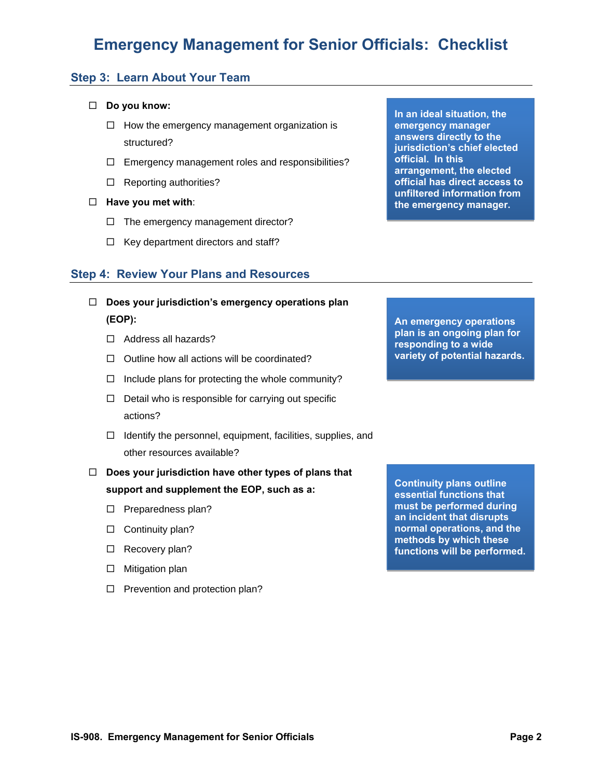### **Step 3: Learn About Your Team**

### **Do you know:**

- $\Box$  How the emergency management organization is structured?
- $\Box$  Emergency management roles and responsibilities?
- $\Box$  Reporting authorities?
- **Have you met with**:
	- $\Box$  The emergency management director?
	- $\Box$  Key department directors and staff?

### **Step 4: Review Your Plans and Resources**

- **Does your jurisdiction's emergency operations plan (EOP):** 
	- $\Box$  Address all hazards?
	- $\Box$  Outline how all actions will be coordinated?
	- $\Box$  Include plans for protecting the whole community?
	- $\Box$  Detail who is responsible for carrying out specific actions?
	- $\Box$  Identify the personnel, equipment, facilities, supplies, and other resources available?
- **Does your jurisdiction have other types of plans that support and supplement the EOP, such as a:** 
	- $\square$  Preparedness plan?
	- $\square$  Continuity plan?
	- $\Box$  Recovery plan?
	- $\square$  Mitigation plan
	- $\Box$  Prevention and protection plan?

**In an ideal situation, the emergency manager answers directly to the jurisdiction's chief elected official. In this arrangement, the elected official has direct access to unfiltered information from the emergency manager.**

**An emergency operations plan is an ongoing plan for responding to a wide variety of potential hazards.**

**Continuity plans outline essential functions that must be performed during an incident that disrupts normal operations, and the methods by which these functions will be performed.**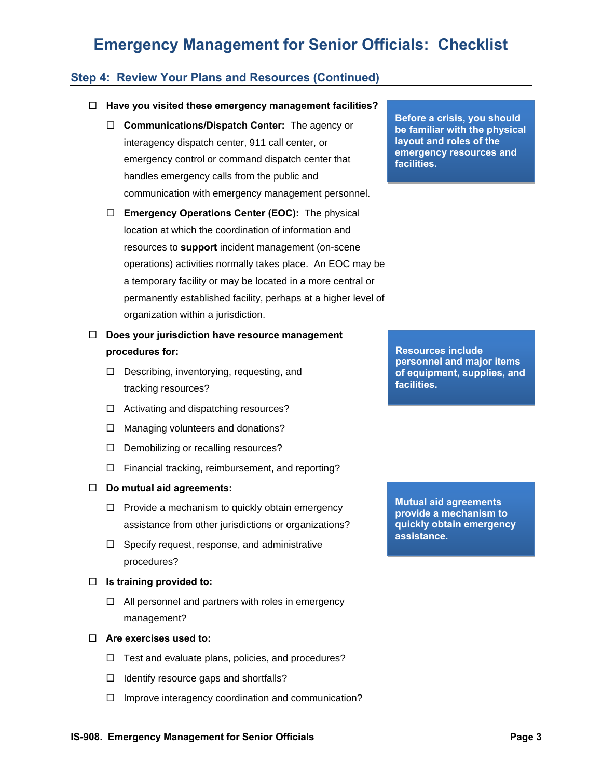### **Step 4: Review Your Plans and Resources (Continued)**

#### **Have you visited these emergency management facilities?**

- **Communications/Dispatch Center:** The agency or interagency dispatch center, 911 call center, or emergency control or command dispatch center that handles emergency calls from the public and communication with emergency management personnel.
- **Emergency Operations Center (EOC):** The physical location at which the coordination of information and resources to **support** incident management (on-scene operations) activities normally takes place. An EOC may be a temporary facility or may be located in a more central or permanently established facility, perhaps at a higher level of organization within a jurisdiction.
- **Does your jurisdiction have resource management procedures for:** 
	- D Describing, inventorying, requesting, and tracking resources?
	- $\Box$  Activating and dispatching resources?
	- $\Box$  Managing volunteers and donations?
	- D Demobilizing or recalling resources?
	- $\Box$  Financial tracking, reimbursement, and reporting?

#### **Do mutual aid agreements:**

- $\Box$  Provide a mechanism to quickly obtain emergency assistance from other jurisdictions or organizations?
- $\Box$  Specify request, response, and administrative procedures?

#### **Is training provided to:**

 $\Box$  All personnel and partners with roles in emergency management?

#### **Are exercises used to:**

- $\Box$  Test and evaluate plans, policies, and procedures?
- $\Box$  Identify resource gaps and shortfalls?
- $\Box$  Improve interagency coordination and communication?

**Before a crisis, you should be familiar with the physical layout and roles of the emergency resources and facilities.**

**Resources include personnel and major items of equipment, supplies, and facilities.**

**Mutual aid agreements provide a mechanism to quickly obtain emergency assistance.**